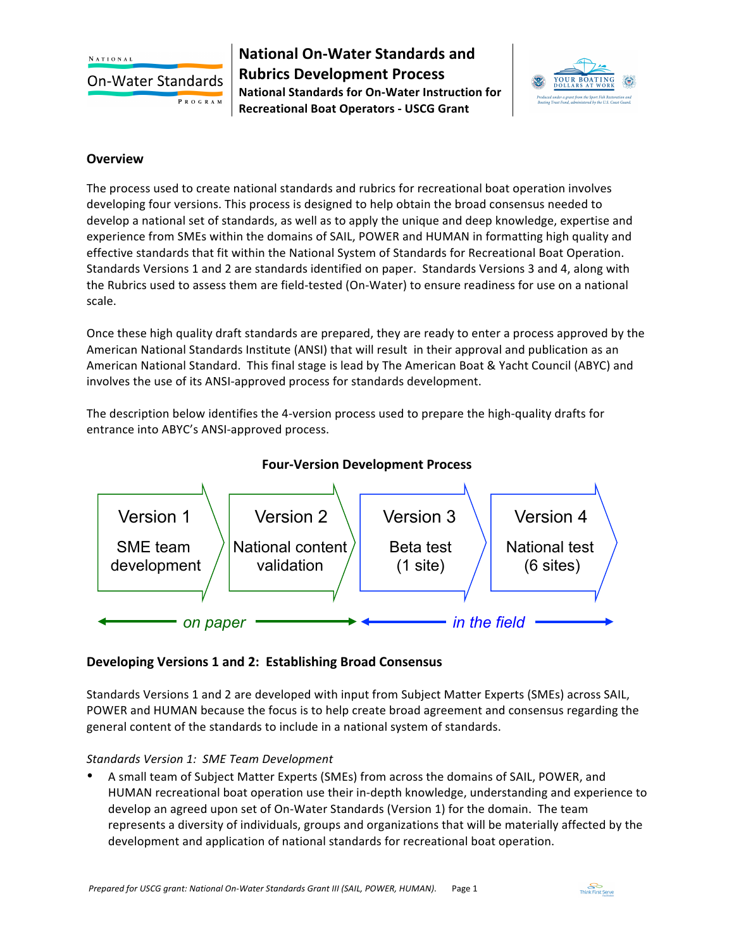**NATIONAL** 

**On-Water Standards** 

PROGRAM

**National On-Water Standards and Rubrics Development Process National Standards for On-Water Instruction for Recreational Boat Operators - USCG Grant**



#### **Overview**

The process used to create national standards and rubrics for recreational boat operation involves developing four versions. This process is designed to help obtain the broad consensus needed to develop a national set of standards, as well as to apply the unique and deep knowledge, expertise and experience from SMEs within the domains of SAIL, POWER and HUMAN in formatting high quality and effective standards that fit within the National System of Standards for Recreational Boat Operation. Standards Versions 1 and 2 are standards identified on paper. Standards Versions 3 and 4, along with the Rubrics used to assess them are field-tested (On-Water) to ensure readiness for use on a national scale. 

Once these high quality draft standards are prepared, they are ready to enter a process approved by the American National Standards Institute (ANSI) that will result in their approval and publication as an American National Standard. This final stage is lead by The American Boat & Yacht Council (ABYC) and involves the use of its ANSI-approved process for standards development.

The description below identifies the 4-version process used to prepare the high-quality drafts for entrance into ABYC's ANSI-approved process.



# **Four-Version Development Process**

## **Developing Versions 1 and 2: Establishing Broad Consensus**

Standards Versions 1 and 2 are developed with input from Subject Matter Experts (SMEs) across SAIL, POWER and HUMAN because the focus is to help create broad agreement and consensus regarding the general content of the standards to include in a national system of standards.

## *Standards Version 1: SME Team Development*

A small team of Subject Matter Experts (SMEs) from across the domains of SAIL, POWER, and HUMAN recreational boat operation use their in-depth knowledge, understanding and experience to develop an agreed upon set of On-Water Standards (Version 1) for the domain. The team represents a diversity of individuals, groups and organizations that will be materially affected by the development and application of national standards for recreational boat operation.